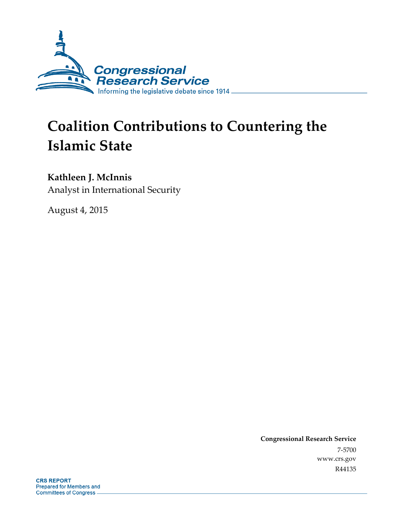

# **Coalition Contributions to Countering the Islamic State**

### **Kathleen J. McInnis**

Analyst in International Security

August 4, 2015

**Congressional Research Service**  7-5700 www.crs.gov R44135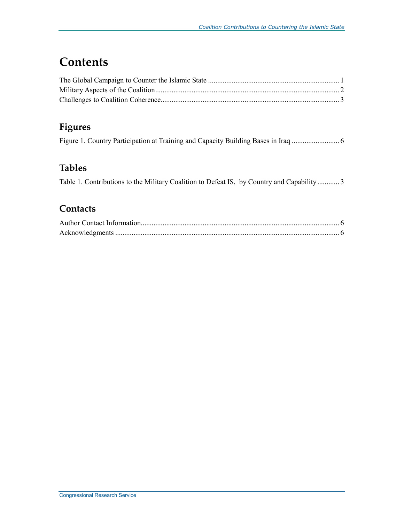## **Contents**

## **Figures**

#### **Tables**

|  | Table 1. Contributions to the Military Coalition to Defeat IS, by Country and Capability  3 |  |
|--|---------------------------------------------------------------------------------------------|--|
|  |                                                                                             |  |

#### **Contacts**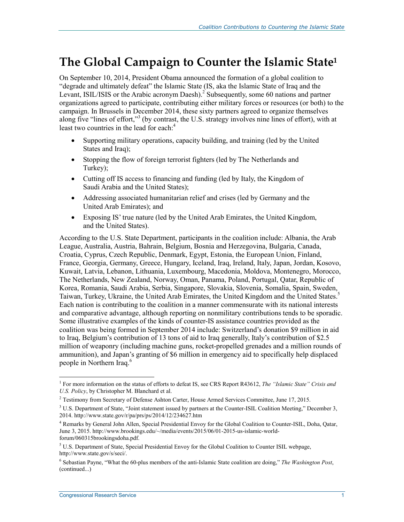## **The Global Campaign to Counter the Islamic State1**

On September 10, 2014, President Obama announced the formation of a global coalition to "degrade and ultimately defeat" the Islamic State (IS, aka the Islamic State of Iraq and the Levant, ISIL/ISIS or the Arabic acronym Daesh).<sup>2</sup> Subsequently, some 60 nations and partner organizations agreed to participate, contributing either military forces or resources (or both) to the campaign. In Brussels in December 2014, these sixty partners agreed to organize themselves along five "lines of effort,"<sup>3</sup> (by contrast, the U.S. strategy involves nine lines of effort), with at least two countries in the lead for each:<sup>4</sup>

- Supporting military operations, capacity building, and training (led by the United States and Iraq);
- Stopping the flow of foreign terrorist fighters (led by The Netherlands and Turkey);
- Cutting off IS access to financing and funding (led by Italy, the Kingdom of Saudi Arabia and the United States);
- Addressing associated humanitarian relief and crises (led by Germany and the United Arab Emirates); and
- Exposing IS' true nature (led by the United Arab Emirates, the United Kingdom, and the United States).

According to the U.S. State Department, participants in the coalition include: Albania, the Arab League, Australia, Austria, Bahrain, Belgium, Bosnia and Herzegovina, Bulgaria, Canada, Croatia, Cyprus, Czech Republic, Denmark, Egypt, Estonia, the European Union, Finland, France, Georgia, Germany, Greece, Hungary, Iceland, Iraq, Ireland, Italy, Japan, Jordan, Kosovo, Kuwait, Latvia, Lebanon, Lithuania, Luxembourg, Macedonia, Moldova, Montenegro, Morocco, The Netherlands, New Zealand, Norway, Oman, Panama, Poland, Portugal, Qatar, Republic of Korea, Romania, Saudi Arabia, Serbia, Singapore, Slovakia, Slovenia, Somalia, Spain, Sweden, Taiwan, Turkey, Ukraine, the United Arab Emirates, the United Kingdom and the United States.5 Each nation is contributing to the coalition in a manner commensurate with its national interests and comparative advantage, although reporting on nonmilitary contributions tends to be sporadic. Some illustrative examples of the kinds of counter-IS assistance countries provided as the coalition was being formed in September 2014 include: Switzerland's donation \$9 million in aid to Iraq, Belgium's contribution of 13 tons of aid to Iraq generally, Italy's contribution of \$2.5 million of weaponry (including machine guns, rocket-propelled grenades and a million rounds of ammunition), and Japan's granting of \$6 million in emergency aid to specifically help displaced people in Northern Iraq.<sup>6</sup>

<u>.</u>

<sup>1</sup> For more information on the status of efforts to defeat IS, see CRS Report R43612, *The "Islamic State" Crisis and U.S. Policy*, by Christopher M. Blanchard et al.

<sup>&</sup>lt;sup>2</sup> Testimony from Secretary of Defense Ashton Carter, House Armed Services Committee, June 17, 2015.

<sup>&</sup>lt;sup>3</sup> U.S. Department of State, "Joint statement issued by partners at the Counter-ISIL Coalition Meeting," December 3, 2014. http://www.state.gov/r/pa/prs/ps/2014/12/234627.htm

<sup>4</sup> Remarks by General John Allen, Special Presidential Envoy for the Global Coalition to Counter-ISIL, Doha, Qatar, June 3, 2015. http://www.brookings.edu/~/media/events/2015/06/01-2015-us-islamic-worldforum/060315brookingsdoha.pdf.

<sup>&</sup>lt;sup>5</sup> U.S. Department of State, Special Presidential Envoy for the Global Coalition to Counter ISIL webpage, http://www.state.gov/s/seci/.

<sup>6</sup> Sebastian Payne, "What the 60-plus members of the anti-Islamic State coalition are doing," *The Washington Post*, (continued...)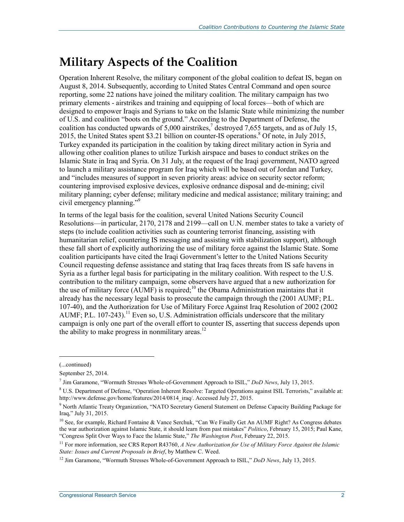## **Military Aspects of the Coalition**

Operation Inherent Resolve, the military component of the global coalition to defeat IS, began on August 8, 2014. Subsequently, according to United States Central Command and open source reporting, some 22 nations have joined the military coalition. The military campaign has two primary elements - airstrikes and training and equipping of local forces—both of which are designed to empower Iraqis and Syrians to take on the Islamic State while minimizing the number of U.S. and coalition "boots on the ground." According to the Department of Defense, the coalition has conducted upwards of 5,000 airstrikes,<sup>7</sup> destroyed 7,655 targets, and as of July 15, 2015, the United States spent \$3.21 billion on counter-IS operations.<sup>8</sup> Of note, in July 2015, Turkey expanded its participation in the coalition by taking direct military action in Syria and allowing other coalition planes to utilize Turkish airspace and bases to conduct strikes on the Islamic State in Iraq and Syria. On 31 July, at the request of the Iraqi government, NATO agreed to launch a military assistance program for Iraq which will be based out of Jordan and Turkey, and "includes measures of support in seven priority areas: advice on security sector reform; countering improvised explosive devices, explosive ordnance disposal and de-mining; civil military planning; cyber defense; military medicine and medical assistance; military training; and civil emergency planning."<sup>9</sup>

In terms of the legal basis for the coalition, several United Nations Security Council Resolutions—in particular, 2170, 2178 and 2199—call on U.N. member states to take a variety of steps (to include coalition activities such as countering terrorist financing, assisting with humanitarian relief, countering IS messaging and assisting with stabilization support), although these fall short of explicitly authorizing the use of military force against the Islamic State. Some coalition participants have cited the Iraqi Government's letter to the United Nations Security Council requesting defense assistance and stating that Iraq faces threats from IS safe havens in Syria as a further legal basis for participating in the military coalition. With respect to the U.S. contribution to the military campaign, some observers have argued that a new authorization for the use of military force  $(AUMF)$  is required;<sup>10</sup> the Obama Administration maintains that it already has the necessary legal basis to prosecute the campaign through the (2001 AUMF; P.L. 107-40), and the Authorization for Use of Military Force Against Iraq Resolution of 2002 (2002 AUMF; P.L. 107-243).<sup>11</sup> Even so, U.S. Administration officials underscore that the military campaign is only one part of the overall effort to counter IS, asserting that success depends upon the ability to make progress in nonmilitary areas.<sup>12</sup>

1

<sup>(...</sup>continued)

September 25, 2014.

<sup>7</sup> Jim Garamone, "Wormuth Stresses Whole-of-Government Approach to ISIL," *DoD News*, July 13, 2015.

<sup>&</sup>lt;sup>8</sup> U.S. Department of Defense, "Operation Inherent Resolve: Targeted Operations against ISIL Terrorists," available at: http://www.defense.gov/home/features/2014/0814\_iraq/. Accessed July 27, 2015.

<sup>&</sup>lt;sup>9</sup> North Atlantic Treaty Organization, "NATO Secretary General Statement on Defense Capacity Building Package for Iraq," July 31, 2015.

<sup>&</sup>lt;sup>10</sup> See, for example, Richard Fontaine & Vance Serchuk, "Can We Finally Get An AUMF Right? As Congress debates the war authorization against Islamic State, it should learn from past mistakes" *Politico*, February 15, 2015; Paul Kane, "Congress Split Over Ways to Face the Islamic State," *The Washington Post*, February 22, 2015.

<sup>&</sup>lt;sup>11</sup> For more information, see CRS Report R43760, *A New Authorization for Use of Military Force Against the Islamic State: Issues and Current Proposals in Brief*, by Matthew C. Weed.

<sup>&</sup>lt;sup>12</sup> Jim Garamone, "Wormuth Stresses Whole-of-Government Approach to ISIL," *DoD News*, July 13, 2015.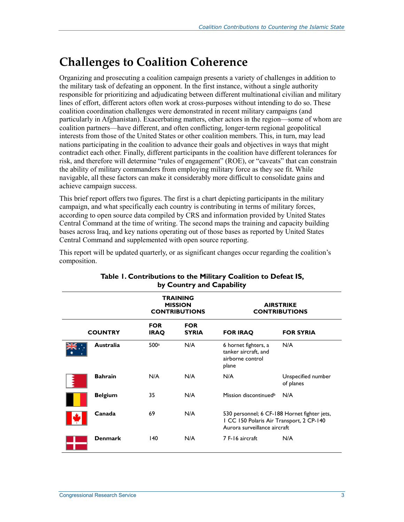## **Challenges to Coalition Coherence**

Organizing and prosecuting a coalition campaign presents a variety of challenges in addition to the military task of defeating an opponent. In the first instance, without a single authority responsible for prioritizing and adjudicating between different multinational civilian and military lines of effort, different actors often work at cross-purposes without intending to do so. These coalition coordination challenges were demonstrated in recent military campaigns (and particularly in Afghanistan). Exacerbating matters, other actors in the region—some of whom are coalition partners—have different, and often conflicting, longer-term regional geopolitical interests from those of the United States or other coalition members. This, in turn, may lead nations participating in the coalition to advance their goals and objectives in ways that might contradict each other. Finally, different participants in the coalition have different tolerances for risk, and therefore will determine "rules of engagement" (ROE), or "caveats" that can constrain the ability of military commanders from employing military force as they see fit. While navigable, all these factors can make it considerably more difficult to consolidate gains and achieve campaign success.

This brief report offers two figures. The first is a chart depicting participants in the military campaign, and what specifically each country is contributing in terms of military forces, according to open source data compiled by CRS and information provided by United States Central Command at the time of writing. The second maps the training and capacity building bases across Iraq, and key nations operating out of those bases as reported by United States Central Command and supplemented with open source reporting.

This report will be updated quarterly, or as significant changes occur regarding the coalition's composition.

|  |                  | TRAINING<br><b>MISSION</b><br><b>CONTRIBUTIONS</b> |                            | <b>AIRSTRIKE</b><br><b>CONTRIBUTIONS</b>                                                                                 |                                 |
|--|------------------|----------------------------------------------------|----------------------------|--------------------------------------------------------------------------------------------------------------------------|---------------------------------|
|  | <b>COUNTRY</b>   | <b>FOR</b><br><b>IRAQ</b>                          | <b>FOR</b><br><b>SYRIA</b> | <b>FOR IRAQ</b>                                                                                                          | <b>FOR SYRIA</b>                |
|  | <b>Australia</b> | 500a                                               | N/A                        | 6 hornet fighters, a<br>tanker aircraft, and<br>airborne control<br>plane                                                | N/A                             |
|  | <b>Bahrain</b>   | N/A                                                | N/A                        | N/A                                                                                                                      | Unspecified number<br>of planes |
|  | <b>Belgium</b>   | 35                                                 | N/A                        | Mission discontinued <sup>b</sup>                                                                                        | N/A                             |
|  | Canada           | 69                                                 | N/A                        | 530 personnel; 6 CF-188 Hornet fighter jets,<br>I CC 150 Polaris Air Transport, 2 CP-140<br>Aurora surveillance aircraft |                                 |
|  | <b>Denmark</b>   | 140                                                | N/A                        | 7 F-16 aircraft                                                                                                          | N/A                             |

#### **Table 1. Contributions to the Military Coalition to Defeat IS, by Country and Capability**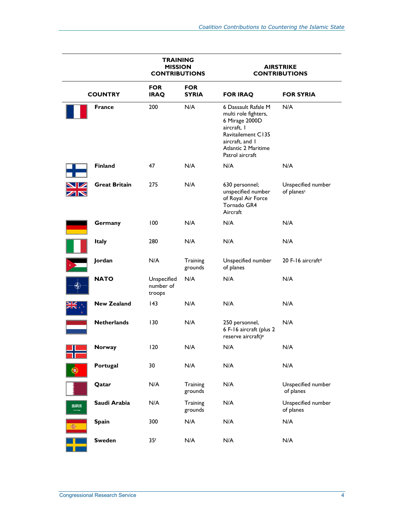|     |                      | <b>TRAINING</b><br><b>MISSION</b><br><b>CONTRIBUTIONS</b> |                            | <b>AIRSTRIKE</b><br><b>CONTRIBUTIONS</b>                                                                                                                               |                                              |
|-----|----------------------|-----------------------------------------------------------|----------------------------|------------------------------------------------------------------------------------------------------------------------------------------------------------------------|----------------------------------------------|
|     | <b>COUNTRY</b>       | <b>FOR</b><br><b>IRAQ</b>                                 | <b>FOR</b><br><b>SYRIA</b> | <b>FOR IRAQ</b>                                                                                                                                                        | <b>FOR SYRIA</b>                             |
|     | <b>France</b>        | 200                                                       | N/A                        | 6 Dassault Rafale M<br>multi role fighters,<br>6 Mirage 2000D<br>aircraft, I<br><b>Ravitailement C135</b><br>aircraft, and I<br>Atlantic 2 Maritime<br>Patrol aircraft | N/A                                          |
|     | <b>Finland</b>       | 47                                                        | N/A                        | N/A                                                                                                                                                                    | N/A                                          |
|     | <b>Great Britain</b> | 275                                                       | N/A                        | 630 personnel;<br>unspecified number<br>of Royal Air Force<br>Tornado GR4<br>Aircraft                                                                                  | Unspecified number<br>of planes <sup>c</sup> |
|     | Germany              | 100                                                       | N/A                        | N/A                                                                                                                                                                    | N/A                                          |
|     | <b>Italy</b>         | 280                                                       | N/A                        | N/A                                                                                                                                                                    | N/A                                          |
|     | Jordan               | N/A                                                       | Training<br>grounds        | Unspecified number<br>of planes                                                                                                                                        | 20 F-16 aircraft <sup>d</sup>                |
|     | <b>NATO</b>          | Unspecified<br>number of<br>troops                        | N/A                        | N/A                                                                                                                                                                    | N/A                                          |
|     | <b>New Zealand</b>   | $ 43\rangle$                                              | N/A                        | N/A                                                                                                                                                                    | N/A                                          |
|     | <b>Netherlands</b>   | 130                                                       | N/A                        | 250 personnel,<br>6 F-16 aircraft (plus 2<br>reserve aircraft) <sup>e</sup>                                                                                            | N/A                                          |
|     | Norway               | 120                                                       | $\mathsf{N}/\mathsf{A}$    | $\mathsf{N}/\mathsf{A}$                                                                                                                                                | N/A                                          |
|     | Portugal             | 30                                                        | N/A                        | N/A                                                                                                                                                                    | N/A                                          |
|     | Qatar                | N/A                                                       | Training<br>grounds        | N/A                                                                                                                                                                    | Unspecified number<br>of planes              |
| 医深膜 | Saudi Arabia         | N/A                                                       | Training<br>grounds        | N/A                                                                                                                                                                    | Unspecified number<br>of planes              |
|     | <b>Spain</b>         | 300                                                       | N/A                        | N/A                                                                                                                                                                    | N/A                                          |
|     | <b>Sweden</b>        | 35 <sup>f</sup>                                           | N/A                        | N/A                                                                                                                                                                    | N/A                                          |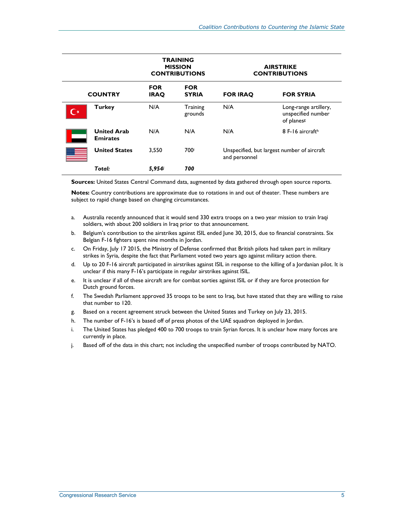|                                       | <b>TRAINING</b><br><b>MISSION</b><br><b>CONTRIBUTIONS</b> |                            | <b>AIRSTRIKE</b><br><b>CONTRIBUTIONS</b> |                                                                       |
|---------------------------------------|-----------------------------------------------------------|----------------------------|------------------------------------------|-----------------------------------------------------------------------|
| <b>COUNTRY</b>                        | <b>FOR</b><br><b>IRAQ</b>                                 | <b>FOR</b><br><b>SYRIA</b> | <b>FOR IRAQ</b>                          | <b>FOR SYRIA</b>                                                      |
| <b>Turkey</b>                         | N/A                                                       | Training<br>grounds        | N/A                                      | Long-range artillery,<br>unspecified number<br>of planes <sup>g</sup> |
| <b>United Arab</b><br><b>Emirates</b> | N/A                                                       | N/A                        | N/A                                      | 8 F-16 aircrafth                                                      |
| <b>United States</b>                  | 3.550                                                     | 700i                       | and personnel                            | Unspecified, but largest number of aircraft                           |
| Total:                                | 5,954i                                                    | 700                        |                                          |                                                                       |

**Sources:** United States Central Command data, augmented by data gathered through open source reports.

**Notes:** Country contributions are approximate due to rotations in and out of theater. These numbers are subject to rapid change based on changing circumstances.

- a. Australia recently announced that it would send 330 extra troops on a two year mission to train Iraqi soldiers, with about 200 soldiers in Iraq prior to that announcement.
- b. Belgium's contribution to the airstrikes against ISIL ended June 30, 2015, due to financial constraints. Six Belgian F-16 fighters spent nine months in Jordan.
- c. On Friday, July 17 2015, the Ministry of Defense confirmed that British pilots had taken part in military strikes in Syria, despite the fact that Parliament voted two years ago against military action there.
- d. Up to 20 F-16 aircraft participated in airstrikes against ISIL in response to the killing of a Jordanian pilot. It is unclear if this many F-16's participate in regular airstrikes against ISIL.
- e. It is unclear if all of these aircraft are for combat sorties against ISIL or if they are force protection for Dutch ground forces.
- f. The Swedish Parliament approved 35 troops to be sent to Iraq, but have stated that they are willing to raise that number to 120.
- g. Based on a recent agreement struck between the United States and Turkey on July 23, 2015.
- h. The number of F-16's is based off of press photos of the UAE squadron deployed in Jordan.
- i. The United States has pledged 400 to 700 troops to train Syrian forces. It is unclear how many forces are currently in place.
- j. Based off of the data in this chart; not including the unspecified number of troops contributed by NATO.